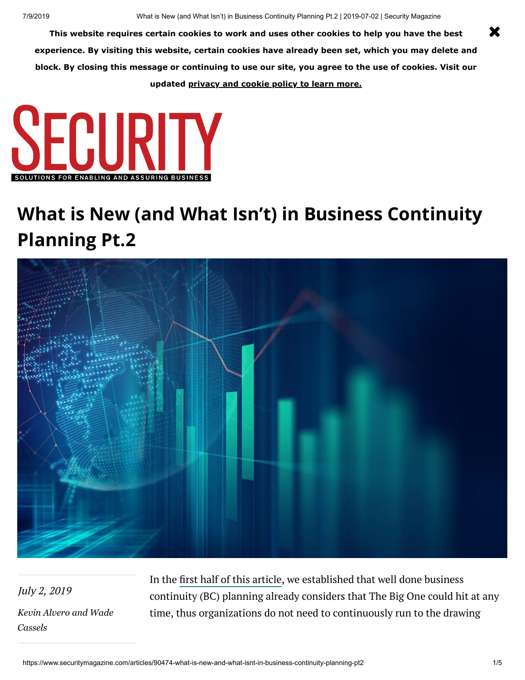**This website requires certain cookies to work and uses other cookies to help you have the best experience. By visiting this website, certain cookies have already been set, which you may delete and block. By closing this message or continuing to use our site, you agree to the use of cookies. Visit our updated [privacy and cookie policy to learn more.](https://www.securitymagazine.com/privacy)**



# **What is New (and What Isn't) in Business Continuity Planning Pt.2**



July 2, 2019 *[Kevin Alver](https://www.securitymagazine.com/authors/2633-kevin-alvero)[o and Wade](https://www.securitymagazine.com/authors/2634-wade-cassels) Cassels*

In the first [half of this](https://www.securitymagazine.com/articles/90336-what-is-new-and-what-isnt-in-business-continuity-planning) article, we established that well done business continuity (BC) planning already considers that The Big One could hit at any time, thus organizations do not need to continuously run to the drawing

X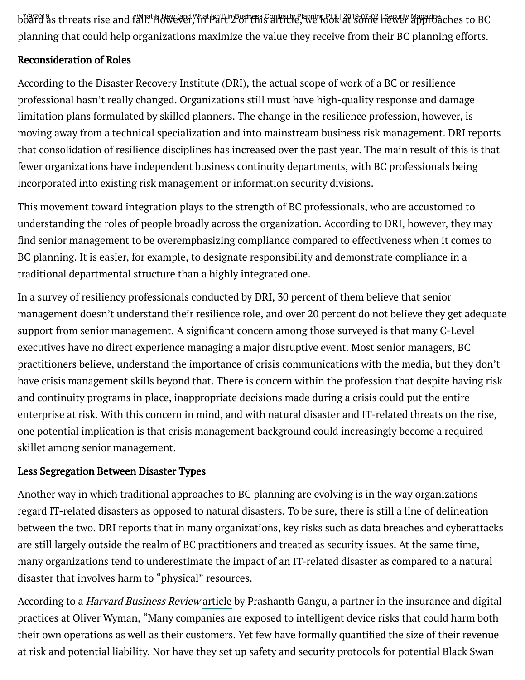board as threats rise and fall. However, in Part Bill Business Continuity Planning 812 | 2013-07-12 | Security Magazina.ches to BC planning that could help organizations maximize the value they receive from their BC planning efforts.

## Reconsideration of Roles

According to the Disaster Recovery Institute (DRI), the actual scope of work of a BC or resilience professional hasn't really changed. Organizations still must have high-quality response and damage limitation plans formulated by skilled planners. The change in the resilience profession, however, is moving away from a technical specialization and into mainstream business risk management. DRI reports that consolidation of resilience disciplines has increased over the past year. The main result of this is that fewer organizations have independent business continuity departments, with BC professionals being incorporated into existing risk management or information security divisions.

This movement toward integration plays to the strength of BC professionals, who are accustomed to understanding the roles of people broadly across the organization. According to DRI, however, they may find senior management to be overemphasizing compliance compared to effectiveness when it comes to BC planning. It is easier, for example, to designate responsibility and demonstrate compliance in a traditional departmental structure than a highly integrated one.

In a survey of resiliency professionals conducted by DRI, 30 percent of them believe that senior management doesn't understand their resilience role, and over 20 percent do not believe they get adequate support from senior management. A significant concern among those surveyed is that many C-Level executives have no direct experience managing a major disruptive event. Most senior managers, BC practitioners believe, understand the importance of crisis communications with the media, but they don't have crisis management skills beyond that. There is concern within the profession that despite having risk and continuity programs in place, inappropriate decisions made during a crisis could put the entire enterprise at risk. With this concern in mind, and with natural disaster and IT-related threats on the rise, one potential implication is that crisis management background could increasingly become a required skillet among senior management.

# Less Segregation Between Disaster Types

Another way in which traditional approaches to BC planning are evolving is in the way organizations regard IT-related disasters as opposed to natural disasters. To be sure, there is still a line of delineation between the two. DRI reports that in many organizations, key risks such as data breaches and cyberattacks are still largely outside the realm of BC practitioners and treated as security issues. At the same time, many organizations tend to underestimate the impact of an IT-related disaster as compared to a natural disaster that involves harm to "physical" resources.

According to a *Harvard Business Review* [article](https://hbr.org/2018/02/we-need-to-approach-ai-risks-like-we-do-natural-disasters) by Prashanth Gangu, a partner in the insurance and digital practices at Oliver Wyman, "Many companies are exposed to intelligent device risks that could harm both their own operations as well as their customers. Yet few have formally quantified the size of their revenue at risk and potential liability. Nor have they set up safety and security protocols for potential Black Swan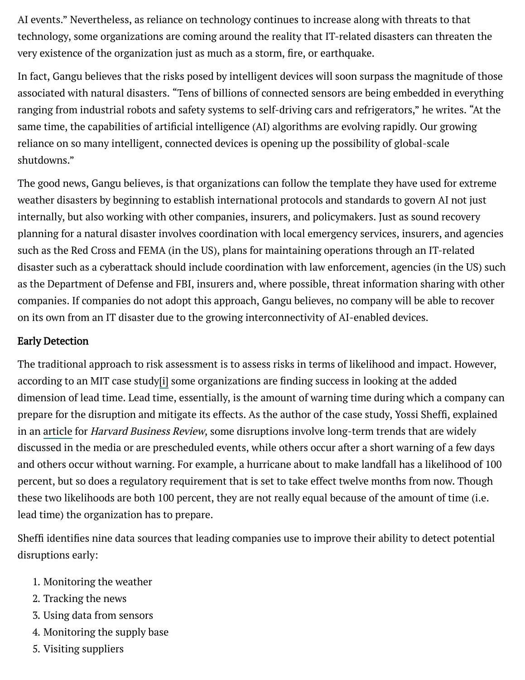AI events." Nevertheless, as reliance on technology continues to increase along with threats to that technology, some organizations are coming around the reality that IT-related disasters can threaten the very existence of the organization just as much as a storm, fire, or earthquake.

In fact, Gangu believes that the risks posed by intelligent devices will soon surpass the magnitude of those associated with natural disasters. "Tens of billions of connected sensors are being embedded in everything ranging from industrial robots and safety systems to self-driving cars and refrigerators," he writes. "At the same time, the capabilities of artificial intelligence (AI) algorithms are evolving rapidly. Our growing reliance on so many intelligent, connected devices is opening up the possibility of global-scale shutdowns."

The good news, Gangu believes, is that organizations can follow the template they have used for extreme weather disasters by beginning to establish international protocols and standards to govern AI not just internally, but also working with other companies, insurers, and policymakers. Just as sound recovery planning for a natural disaster involves coordination with local emergency services, insurers, and agencies such as the Red Cross and FEMA (in the US), plans for maintaining operations through an IT-related disaster such as a cyberattack should include coordination with law enforcement, agencies (in the US) such as the Department of Defense and FBI, insurers and, where possible, threat information sharing with other companies. If companies do not adopt this approach, Gangu believes, no company will be able to recover on its own from an IT disaster due to the growing interconnectivity of AI-enabled devices.

#### Early Detection

The traditional approach to risk assessment is to assess risks in terms of likelihood and impact. However, according to an MIT case study[i] some organizations are finding success in looking at the added dimension of lead time. Lead time, essentially, is the amount of warning time during which a company can prepare for the disruption and mitigate its effects. As the author of the case study, Yossi Sheffi, explained in an [article](https://sloanreview.mit.edu/article/preparing-for-disruptions-through-early-detection/) for *Harvard Business Review*, some disruptions involve long-term trends that are widely discussed in the media or are prescheduled events, while others occur after a short warning of a few days and others occur without warning. For example, a hurricane about to make landfall has a likelihood of 100 percent, but so does a regulatory requirement that is set to take effect twelve months from now. Though these two likelihoods are both 100 percent, they are not really equal because of the amount of time (i.e. lead time) the organization has to prepare.

Sheffi identifies nine data sources that leading companies use to improve their ability to detect potential disruptions early:

- 1. Monitoring the weather
- 2. Tracking the news
- 3. Using data from sensors
- 4. Monitoring the supply base
- 5. Visiting suppliers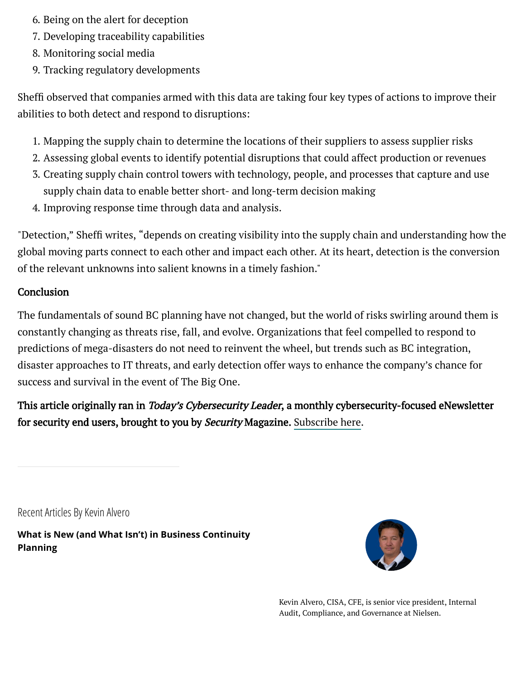- 6. Being on the alert for deception **EXALGISHS** Properties Assembly Magaziness Continuity Magaziness Continuity Ma
	- 7. Developing traceability capabilities
	- 8. Monitoring social media
	- 9. Tracking regulatory developments

Sheffi observed that companies armed with this data are taking four key types of actions to improve their abilities to both detect and respond to disruptions:

- 1. Mapping the supply chain to determine the locations of their suppliers to assess supplier risks
- 2. Assessing global events to identify potential disruptions that could affect production or revenues
- 3. Creating supply chain control towers with technology, people, and processes that capture and use supply chain data to enable better short- and long-term decision making
- 4. Improving response time through data and analysis.

"Detection," Sheffi writes, "depends on creating visibility into the supply chain and understanding how the global moving parts connect to each other and impact each other. At its heart, detection is the conversion of the relevant unknowns into salient knowns in a timely fashion."

## **Conclusion**

The fundamentals of sound BC planning have not changed, but the world of risks swirling around them is constantly changing as threats rise, fall, and evolve. Organizations that feel compelled to respond to predictions of mega-disasters do not need to reinvent the wheel, but trends such as BC integration, disaster approaches to IT threats, and early detection offer ways to enhance the company's chance for success and survival in the event of The Big One.

This article originally ran in *Today's Cybersecurity Leader*, a monthly cybersecurity-focused eNewsletter for security end users, brought to you by Security Magazine. [Subscribe](https://bnp.dragonforms.com/init.do?pk=W.HOME&omedasite=BNP6090_Vtnew) here.

Recent Articles By [Kevin Alvero](https://www.securitymagazine.com/authors/2633-kevin-alvero)

**[What is New \(and What Isn't\) in Business Continuity](https://www.securitymagazine.com/articles/90336-what-is-new-and-what-isnt-in-business-continuity-planning) Planning**



Kevin Alvero, CISA, CFE, is senior vice president, Internal Audit, Compliance, and Governance at Nielsen.